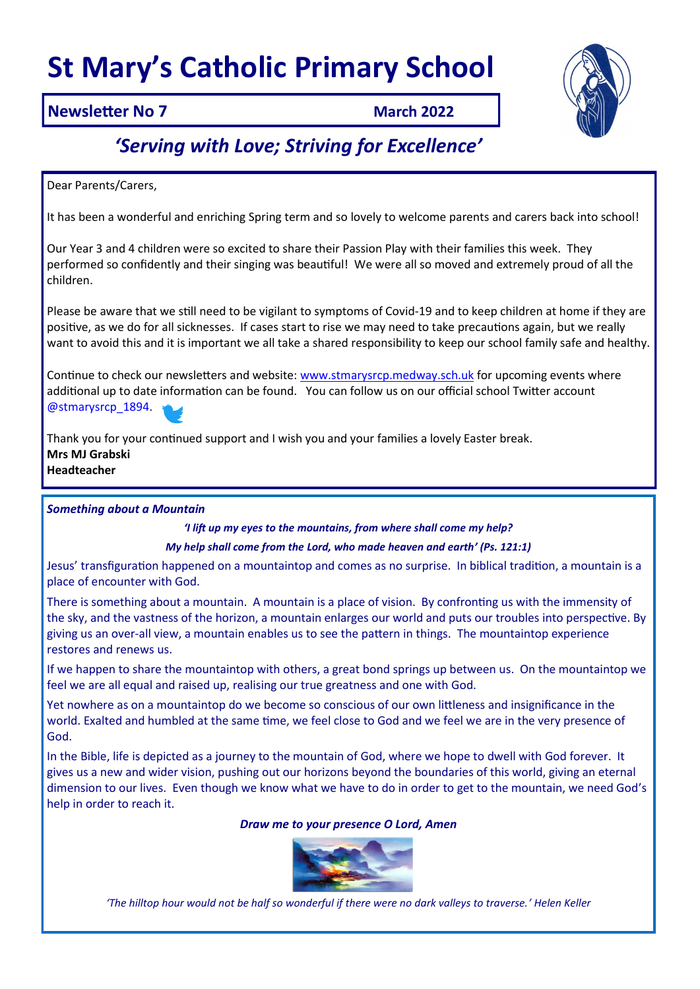# **St Mary's Catholic Primary School**



### **Newsletter No 7 <b>March 2022**

## *'Serving with Love; Striving for Excellence'*

Dear Parents/Carers,

It has been a wonderful and enriching Spring term and so lovely to welcome parents and carers back into school!

Our Year 3 and 4 children were so excited to share their Passion Play with their families this week. They performed so confidently and their singing was beautiful! We were all so moved and extremely proud of all the children.

Please be aware that we still need to be vigilant to symptoms of Covid-19 and to keep children at home if they are positive, as we do for all sicknesses. If cases start to rise we may need to take precautions again, but we really want to avoid this and it is important we all take a shared responsibility to keep our school family safe and healthy.

Continue to check our newsletters and website: [www.stmarysrcp.medway.sch.uk](http://www.stmarysrcp.medway.sch.uk) for upcoming events where additional up to date information can be found. You can follow us on our official school Twitter account @stmarysrcp\_1894.



Thank you for your continued support and I wish you and your families a lovely Easter break. **Mrs MJ Grabski Headteacher**

#### *Something about a Mountain*

*'I lift up my eyes to the mountains, from where shall come my help? My help shall come from the Lord, who made heaven and earth' (Ps. 121:1)*

Jesus' transfiguration happened on a mountaintop and comes as no surprise. In biblical tradition, a mountain is a place of encounter with God.

There is something about a mountain. A mountain is a place of vision. By confronting us with the immensity of the sky, and the vastness of the horizon, a mountain enlarges our world and puts our troubles into perspective. By giving us an over-all view, a mountain enables us to see the pattern in things. The mountaintop experience restores and renews us.

If we happen to share the mountaintop with others, a great bond springs up between us. On the mountaintop we feel we are all equal and raised up, realising our true greatness and one with God.

Yet nowhere as on a mountaintop do we become so conscious of our own littleness and insignificance in the world. Exalted and humbled at the same time, we feel close to God and we feel we are in the very presence of God.

In the Bible, life is depicted as a journey to the mountain of God, where we hope to dwell with God forever. It gives us a new and wider vision, pushing out our horizons beyond the boundaries of this world, giving an eternal dimension to our lives. Even though we know what we have to do in order to get to the mountain, we need God's help in order to reach it.

#### *Draw me to your presence O Lord, Amen*



*'The hilltop hour would not be half so wonderful if there were no dark valleys to traverse.' Helen Keller*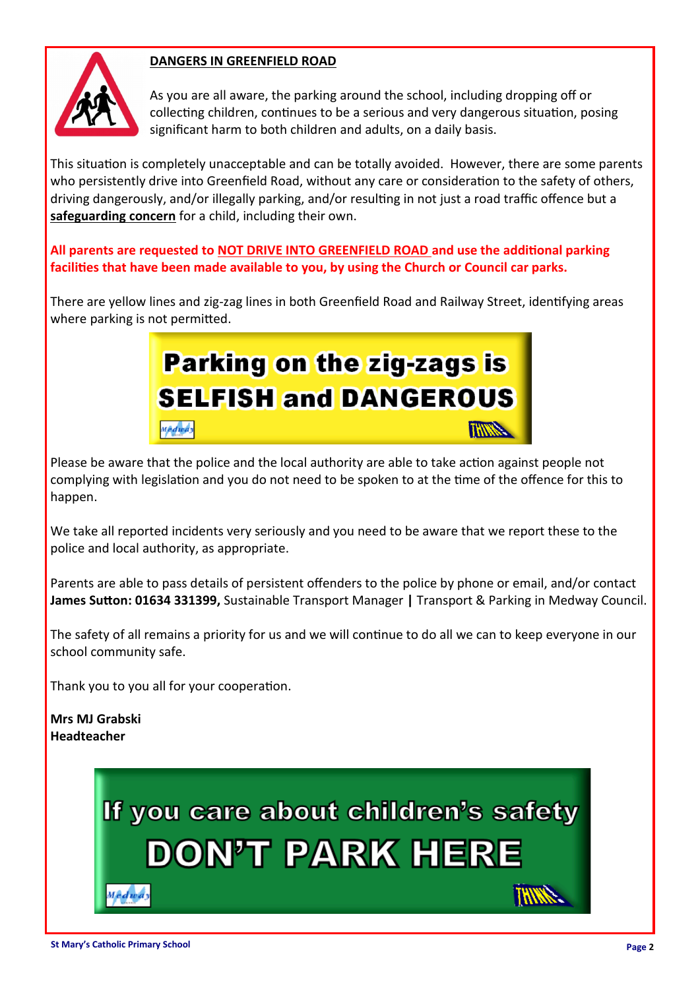

#### **DANGERS IN GREENFIELD ROAD**

As you are all aware, the parking around the school, including dropping off or collecting children, continues to be a serious and very dangerous situation, posing significant harm to both children and adults, on a daily basis.

This situation is completely unacceptable and can be totally avoided. However, there are some parents who persistently drive into Greenfield Road, without any care or consideration to the safety of others, driving dangerously, and/or illegally parking, and/or resulting in not just a road traffic offence but a **safeguarding concern** for a child, including their own.

**All parents are requested to NOT DRIVE INTO GREENFIELD ROAD and use the additional parking facilities that have been made available to you, by using the Church or Council car parks.**

There are yellow lines and zig-zag lines in both Greenfield Road and Railway Street, identifying areas where parking is not permitted.

## **Parking on the zig-zags is SELFISH and DANGEROUS** Mêdway **THIRD**

Please be aware that the police and the local authority are able to take action against people not complying with legislation and you do not need to be spoken to at the time of the offence for this to happen.

We take all reported incidents very seriously and you need to be aware that we report these to the police and local authority, as appropriate.

Parents are able to pass details of persistent offenders to the police by phone or email, and/or contact **James Sutton: 01634 331399,** Sustainable Transport Manager **|** Transport & Parking in Medway Council.

The safety of all remains a priority for us and we will continue to do all we can to keep everyone in our school community safe.

Thank you to you all for your cooperation.

**Mrs MJ Grabski Headteacher**